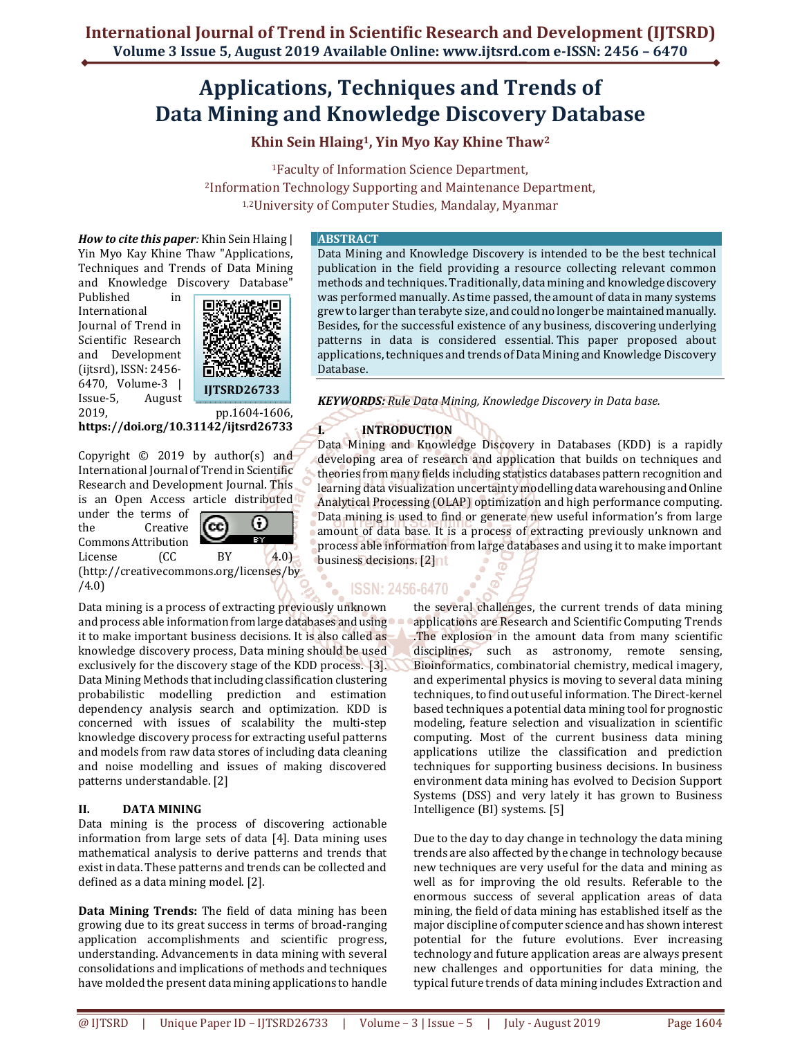# **Applications, Techniques and Trends of Data Mining and Knowledge Discovery Database**

**Khin Sein Hlaing1, Yin Myo Kay Khine Thaw<sup>2</sup>**

<sup>1</sup>Faculty of Information Science Department, <sup>2</sup>Information Technology Supporting and Maintenance Department, 1,2University of Computer Studies, Mandalay, Myanmar

*How to cite this paper:* Khin Sein Hlaing | Yin Myo Kay Khine Thaw "Applications, Techniques and Trends of Data Mining and Knowledge Discovery Database"

Published in International Journal of Trend in Scientific Research and Development (ijtsrd), ISSN: 2456- 6470, Volume-3 | Issue-5, August



2019, pp.1604-1606, **https://doi.org/10.31142/ijtsrd26733**

Copyright  $\odot$  2019 by author(s) and International Journal of Trend in Scientific Research and Development Journal. This is an Open Access article distributed under the terms of (+) (cc the Creative Ta 1 Commons Attribution License (CC BY 4.0) (http://creativecommons.org/licenses/by

/4.0)

Data mining is a process of extracting previously unknown and process able information from large databases and using it to make important business decisions. It is also called as knowledge discovery process, Data mining should be used exclusively for the discovery stage of the KDD process. [3]. Data Mining Methods that including classification clustering probabilistic modelling prediction and estimation dependency analysis search and optimization. KDD is concerned with issues of scalability the multi-step knowledge discovery process for extracting useful patterns and models from raw data stores of including data cleaning and noise modelling and issues of making discovered patterns understandable. [2]

### **II. DATA MINING**

Data mining is the process of discovering actionable information from large sets of data [4]. Data mining uses mathematical analysis to derive patterns and trends that exist in data. These patterns and trends can be collected and defined as a data mining model. [2].

**Data Mining Trends:** The field of data mining has been growing due to its great success in terms of broad-ranging application accomplishments and scientific progress, understanding. Advancements in data mining with several consolidations and implications of methods and techniques have molded the present data mining applications to handle

#### **ABSTRACT**

Data Mining and Knowledge Discovery is intended to be the best technical publication in the field providing a resource collecting relevant common methods and techniques. Traditionally, data mining and knowledge discovery was performed manually. As time passed, the amount of data in many systems grew to larger than terabyte size, and could no longer be maintained manually. Besides, for the successful existence of any business, discovering underlying patterns in data is considered essential. This paper proposed about applications, techniques and trends of Data Mining and Knowledge Discovery Database.

*KEYWORDS: Rule Data Mining, Knowledge Discovery in Data base.*

## **I. INTRODUCTION**

Data Mining and Knowledge Discovery in Databases (KDD) is a rapidly developing area of research and application that builds on techniques and theories from many fields including statistics databases pattern recognition and learning data visualization uncertainty modelling data warehousing and Online Analytical Processing (OLAP) optimization and high performance computing. Data mining is used to find or generate new useful information's from large amount of data base. It is a process of extracting previously unknown and process able information from large databases and using it to make important business decisions. [2] nt

## **ISSN: 2456-6470**

the several challenges, the current trends of data mining applications are Research and Scientific Computing Trends .The explosion in the amount data from many scientific disciplines, such as astronomy, remote sensing, Bioinformatics, combinatorial chemistry, medical imagery, and experimental physics is moving to several data mining techniques, to find out useful information. The Direct-kernel based techniques a potential data mining tool for prognostic modeling, feature selection and visualization in scientific computing. Most of the current business data mining applications utilize the classification and prediction techniques for supporting business decisions. In business environment data mining has evolved to Decision Support Systems (DSS) and very lately it has grown to Business Intelligence (BI) systems. [5]

Due to the day to day change in technology the data mining trends are also affected by the change in technology because new techniques are very useful for the data and mining as well as for improving the old results. Referable to the enormous success of several application areas of data mining, the field of data mining has established itself as the major discipline of computer science and has shown interest potential for the future evolutions. Ever increasing technology and future application areas are always present new challenges and opportunities for data mining, the typical future trends of data mining includes Extraction and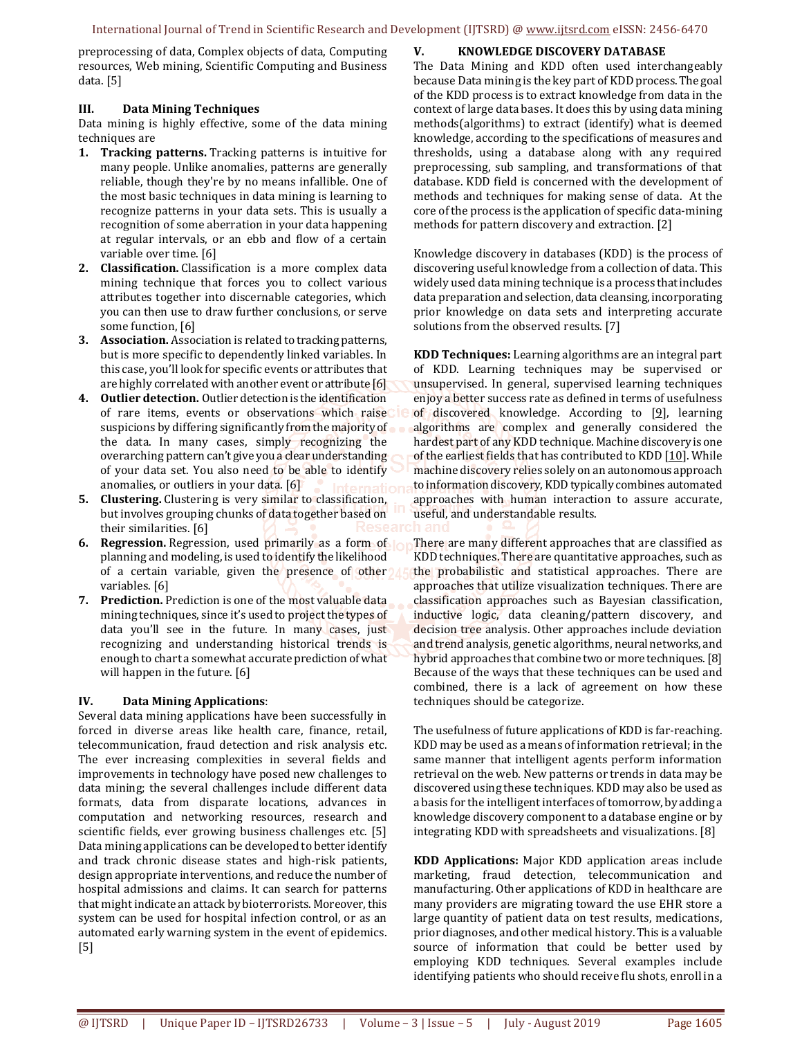preprocessing of data, Complex objects of data, Computing resources, Web mining, Scientific Computing and Business data. [5]

#### **III. Data Mining Techniques**

Data mining is highly effective, some of the data mining techniques are

- **1. Tracking patterns.** Tracking patterns is intuitive for many people. Unlike anomalies, patterns are generally reliable, though they're by no means infallible. One of the most basic techniques in data mining is learning to recognize patterns in your data sets. This is usually a recognition of some aberration in your data happening at regular intervals, or an ebb and flow of a certain variable over time. [6]
- **2. Classification.** Classification is a more complex data mining technique that forces you to collect various attributes together into discernable categories, which you can then use to draw further conclusions, or serve some function, [6]
- **3. Association.** Association is related to tracking patterns, but is more specific to dependently linked variables. In this case, you'll look for specific events or attributes that are highly correlated with another event or attribute [6]
- **4. Outlier detection.** Outlier detection is the identification of rare items, events or observations which raise suspicions by differing significantly from the majority of the data. In many cases, simply recognizing the overarching pattern can't give you a clear understanding of your data set. You also need to be able to identify anomalies, or outliers in your data. [6]
- **5. Clustering.** Clustering is very similar to classification, but involves grouping chunks of data together based on their similarities. [6]
- **6. Regression.** Regression, used primarily as a form of planning and modeling, is used to identify the likelihood of a certain variable, given the presence of other variables. [6]
- **7. Prediction.** Prediction is one of the most valuable data mining techniques, since it's used to project the types of data you'll see in the future. In many cases, just recognizing and understanding historical trends is enough to chart a somewhat accurate prediction of what will happen in the future. [6]

#### **IV. Data Mining Applications**:

Several data mining applications have been successfully in forced in diverse areas like health care, finance, retail, telecommunication, fraud detection and risk analysis etc. The ever increasing complexities in several fields and improvements in technology have posed new challenges to data mining; the several challenges include different data formats, data from disparate locations, advances in computation and networking resources, research and scientific fields, ever growing business challenges etc. [5] Data mining applications can be developed to better identify and track chronic disease states and high-risk patients, design appropriate interventions, and reduce the number of hospital admissions and claims. It can search for patterns that might indicate an attack by bioterrorists. Moreover, this system can be used for hospital infection control, or as an automated early warning system in the event of epidemics. [5]

#### **V. KNOWLEDGE DISCOVERY DATABASE**

The Data Mining and KDD often used interchangeably because Data mining is the key part of KDD process. The goal of the KDD process is to extract knowledge from data in the context of large data bases. It does this by using data mining methods(algorithms) to extract (identify) what is deemed knowledge, according to the specifications of measures and thresholds, using a database along with any required preprocessing, sub sampling, and transformations of that database. KDD field is concerned with the development of methods and techniques for making sense of data. At the core of the process is the application of specific data-mining methods for pattern discovery and extraction. [2]

Knowledge discovery in databases (KDD) is the process of discovering useful knowledge from a collection of data. This widely used data mining technique is a process that includes data preparation and selection, data cleansing, incorporating prior knowledge on data sets and interpreting accurate solutions from the observed results. [7]

**KDD Techniques:** Learning algorithms are an integral part of KDD. Learning techniques may be supervised or unsupervised. In general, supervised learning techniques enjoy a better success rate as defined in terms of usefulness of discovered knowledge. According to  $[9]$ , learning algorithms are complex and generally considered the hardest part of any KDD technique. Machine discovery is one of the earliest fields that has contributed to KDD [10]. While machine discovery relies solely on an autonomous approach to information discovery, KDD typically combines automated approaches with human interaction to assure accurate, useful, and understandable results.

There are many different approaches that are classified as KDD techniques. There are quantitative approaches, such as the probabilistic and statistical approaches. There are approaches that utilize visualization techniques. There are classification approaches such as Bayesian classification, inductive logic, data cleaning/pattern discovery, and decision tree analysis. Other approaches include deviation and trend analysis, genetic algorithms, neural networks, and hybrid approaches that combine two or more techniques. [8] Because of the ways that these techniques can be used and combined, there is a lack of agreement on how these techniques should be categorize.

The usefulness of future applications of KDD is far-reaching. KDD may be used as a means of information retrieval; in the same manner that intelligent agents perform information retrieval on the web. New patterns or trends in data may be discovered using these techniques. KDD may also be used as a basis for the intelligent interfaces of tomorrow, by adding a knowledge discovery component to a database engine or by integrating KDD with spreadsheets and visualizations. [8]

**KDD Applications:** Major KDD application areas include marketing, fraud detection, telecommunication and manufacturing. Other applications of KDD in healthcare are many providers are migrating toward the use EHR store a large quantity of patient data on test results, medications, prior diagnoses, and other medical history. This is a valuable source of information that could be better used by employing KDD techniques. Several examples include identifying patients who should receive flu shots, enroll in a